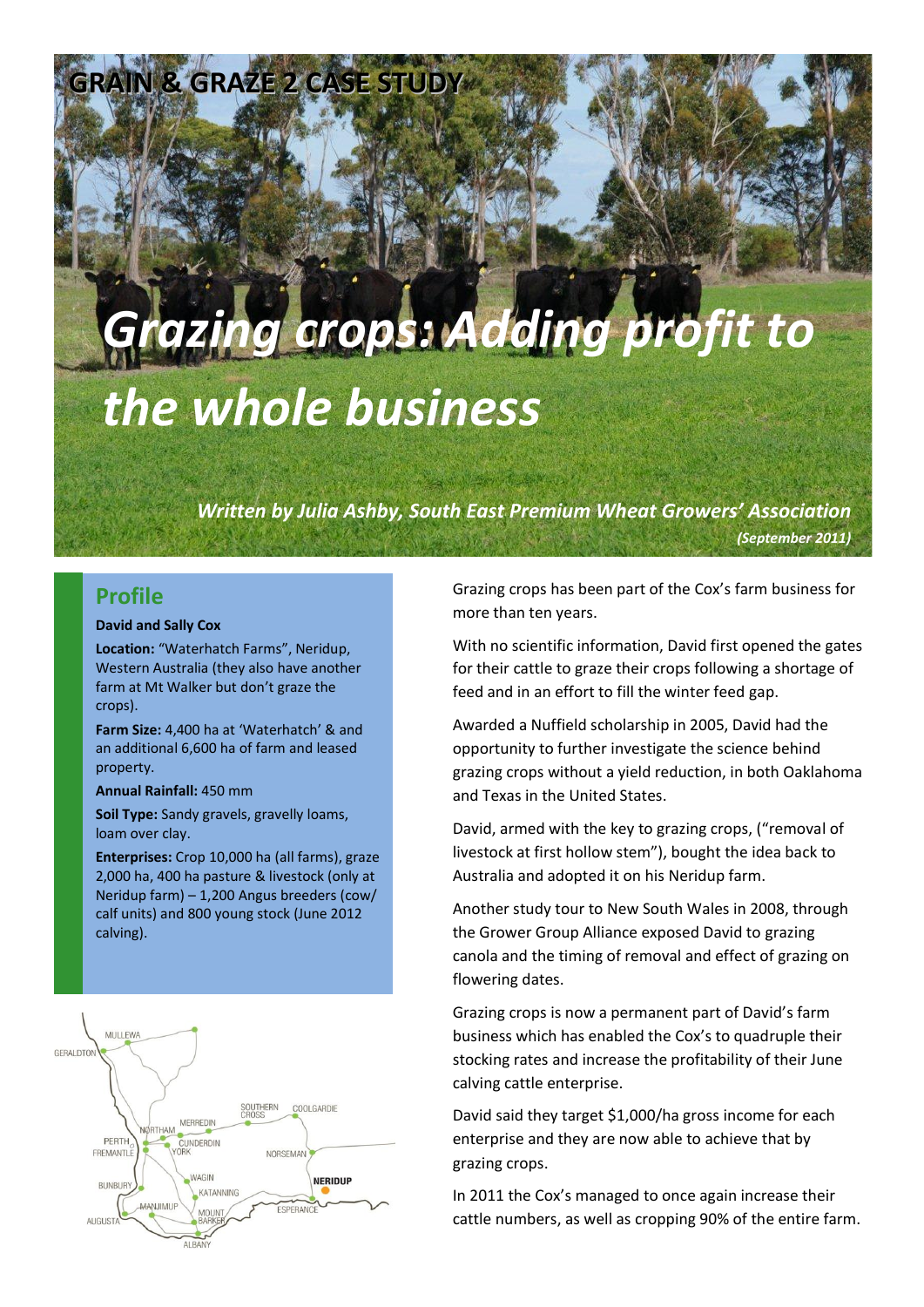# *Grazing crops: Adding profit to the whole business*

*Written by Julia Ashby, South East Premium Wheat Growers' Association (September 2011)*

#### **Profile**

#### **David and Sally Cox**

**Location:** "Waterhatch Farms", Neridup, Western Australia (they also have another farm at Mt Walker but don't graze the crops).

**IN & GRAZE 2 CASE STUD** 

**Farm Size:** 4,400 ha at 'Waterhatch' & and an additional 6,600 ha of farm and leased property.

**Annual Rainfall:** 450 mm

**Soil Type:** Sandy gravels, gravelly loams, loam over clay.

**Enterprises:** Crop 10,000 ha (all farms), graze 2,000 ha, 400 ha pasture & livestock (only at Neridup farm) – 1,200 Angus breeders (cow/ calf units) and 800 young stock (June 2012 calving).



Grazing crops has been part of the Cox's farm business for more than ten years.

With no scientific information, David first opened the gates for their cattle to graze their crops following a shortage of feed and in an effort to fill the winter feed gap.

Awarded a Nuffield scholarship in 2005, David had the opportunity to further investigate the science behind grazing crops without a yield reduction, in both Oaklahoma and Texas in the United States.

David, armed with the key to grazing crops, ("removal of livestock at first hollow stem"), bought the idea back to Australia and adopted it on his Neridup farm.

Another study tour to New South Wales in 2008, through the Grower Group Alliance exposed David to grazing canola and the timing of removal and effect of grazing on flowering dates.

Grazing crops is now a permanent part of David's farm business which has enabled the Cox's to quadruple their stocking rates and increase the profitability of their June calving cattle enterprise.

David said they target \$1,000/ha gross income for each enterprise and they are now able to achieve that by grazing crops.

In 2011 the Cox's managed to once again increase their cattle numbers, as well as cropping 90% of the entire farm.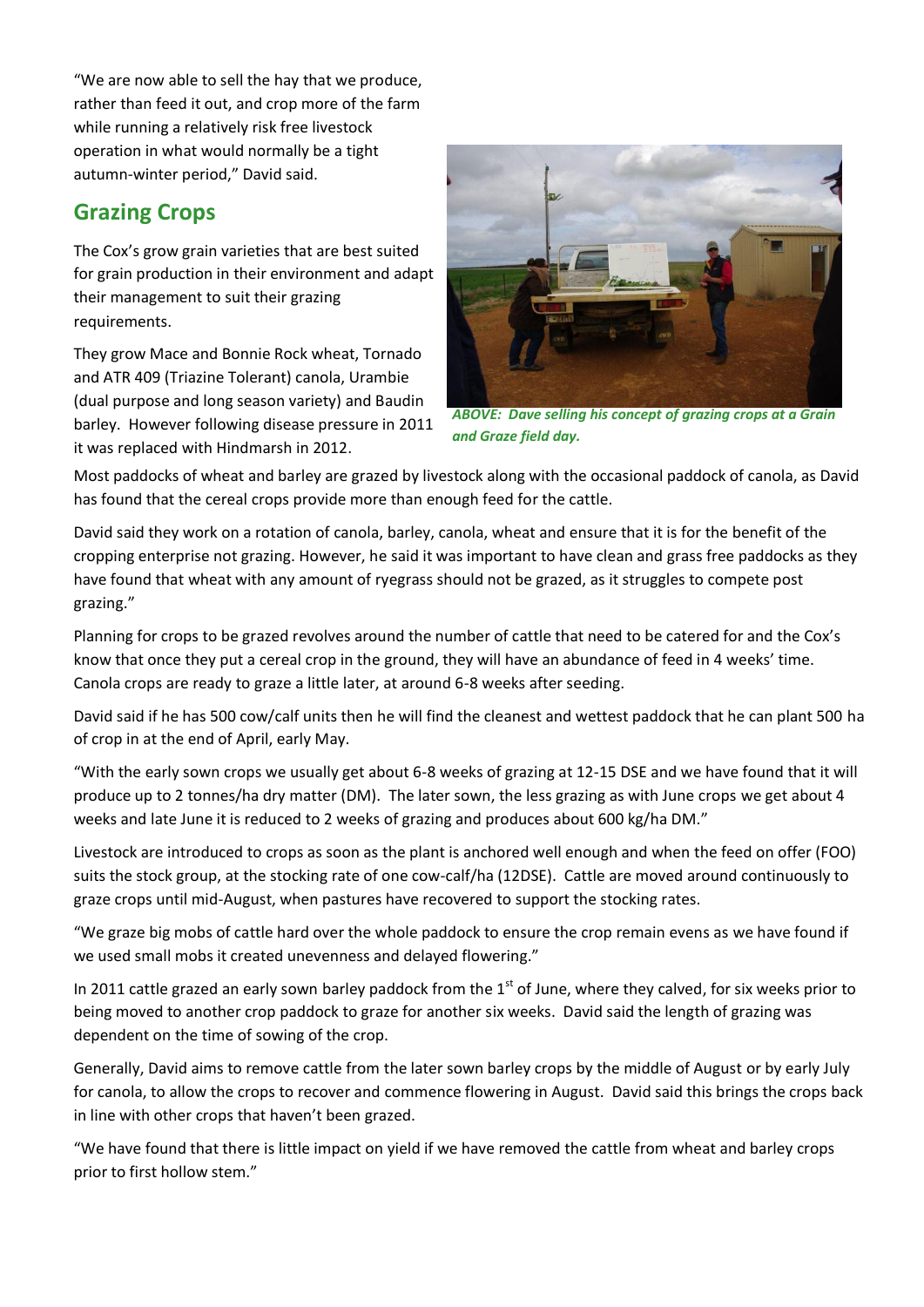"We are now able to sell the hay that we produce, rather than feed it out, and crop more of the farm while running a relatively risk free livestock operation in what would normally be a tight autumn-winter period," David said.

### **Grazing Crops**

The Cox's grow grain varieties that are best suited for grain production in their environment and adapt their management to suit their grazing requirements.

They grow Mace and Bonnie Rock wheat, Tornado and ATR 409 (Triazine Tolerant) canola, Urambie (dual purpose and long season variety) and Baudin barley. However following disease pressure in 2011 it was replaced with Hindmarsh in 2012.



*ABOVE: Dave selling his concept of grazing crops at a Grain and Graze field day.*

Most paddocks of wheat and barley are grazed by livestock along with the occasional paddock of canola, as David has found that the cereal crops provide more than enough feed for the cattle.

David said they work on a rotation of canola, barley, canola, wheat and ensure that it is for the benefit of the cropping enterprise not grazing. However, he said it was important to have clean and grass free paddocks as they have found that wheat with any amount of ryegrass should not be grazed, as it struggles to compete post grazing."

Planning for crops to be grazed revolves around the number of cattle that need to be catered for and the Cox's know that once they put a cereal crop in the ground, they will have an abundance of feed in 4 weeks' time. Canola crops are ready to graze a little later, at around 6-8 weeks after seeding.

David said if he has 500 cow/calf units then he will find the cleanest and wettest paddock that he can plant 500 ha of crop in at the end of April, early May.

"With the early sown crops we usually get about 6-8 weeks of grazing at 12-15 DSE and we have found that it will produce up to 2 tonnes/ha dry matter (DM). The later sown, the less grazing as with June crops we get about 4 weeks and late June it is reduced to 2 weeks of grazing and produces about 600 kg/ha DM."

Livestock are introduced to crops as soon as the plant is anchored well enough and when the feed on offer (FOO) suits the stock group, at the stocking rate of one cow-calf/ha (12DSE). Cattle are moved around continuously to graze crops until mid-August, when pastures have recovered to support the stocking rates.

"We graze big mobs of cattle hard over the whole paddock to ensure the crop remain evens as we have found if we used small mobs it created unevenness and delayed flowering."

In 2011 cattle grazed an early sown barley paddock from the  $1<sup>st</sup>$  of June, where they calved, for six weeks prior to being moved to another crop paddock to graze for another six weeks. David said the length of grazing was dependent on the time of sowing of the crop.

Generally, David aims to remove cattle from the later sown barley crops by the middle of August or by early July for canola, to allow the crops to recover and commence flowering in August. David said this brings the crops back in line with other crops that haven't been grazed.

"We have found that there is little impact on yield if we have removed the cattle from wheat and barley crops prior to first hollow stem."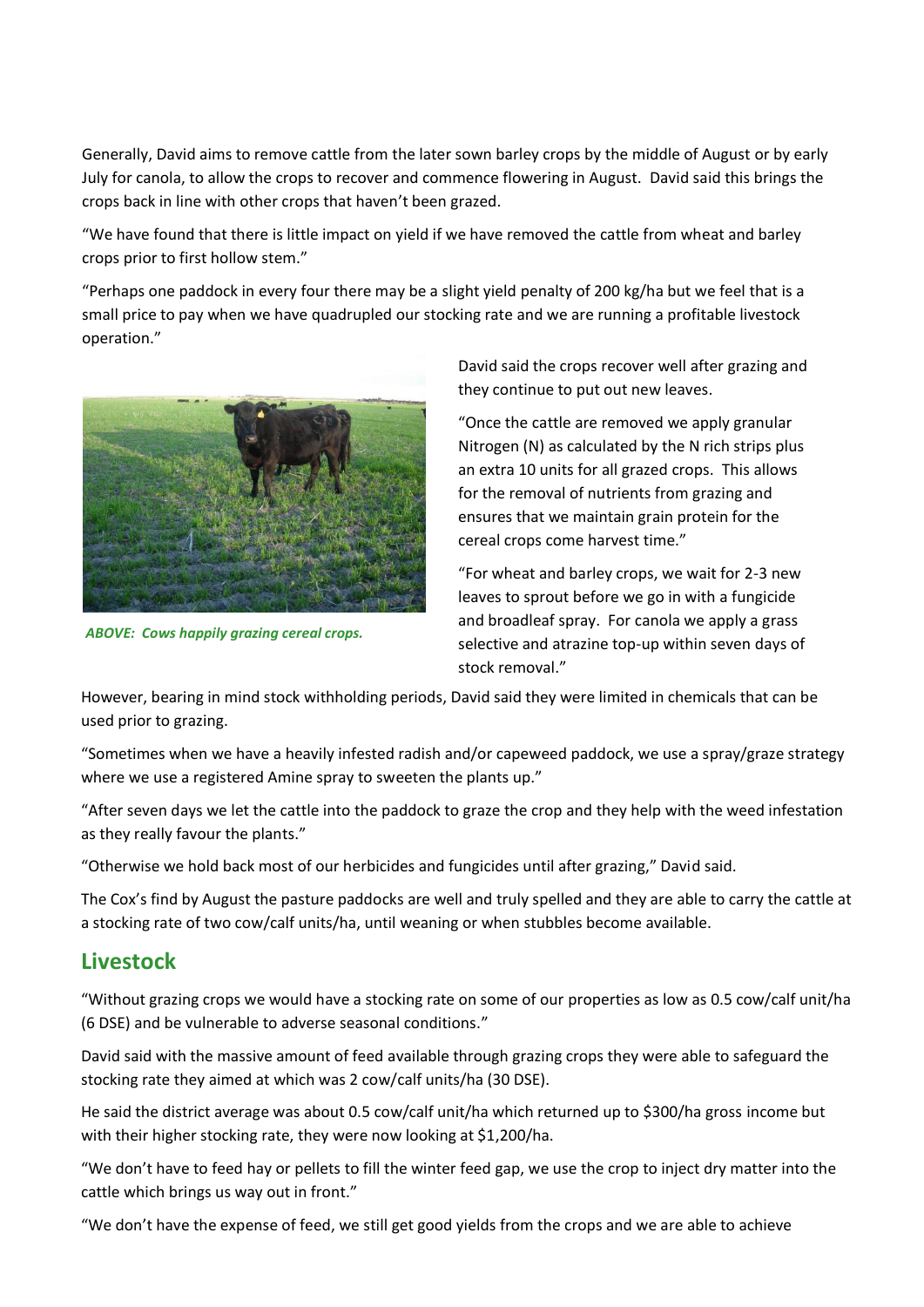Generally, David aims to remove cattle from the later sown barley crops by the middle of August or by early July for canola, to allow the crops to recover and commence flowering in August. David said this brings the crops back in line with other crops that haven't been grazed.

"We have found that there is little impact on yield if we have removed the cattle from wheat and barley crops prior to first hollow stem."

"Perhaps one paddock in every four there may be a slight yield penalty of 200 kg/ha but we feel that is a small price to pay when we have quadrupled our stocking rate and we are running a profitable livestock operation."



*ABOVE: Cows happily grazing cereal crops.*

David said the crops recover well after grazing and they continue to put out new leaves.

"Once the cattle are removed we apply granular Nitrogen (N) as calculated by the N rich strips plus an extra 10 units for all grazed crops. This allows for the removal of nutrients from grazing and ensures that we maintain grain protein for the cereal crops come harvest time."

"For wheat and barley crops, we wait for 2-3 new leaves to sprout before we go in with a fungicide and broadleaf spray. For canola we apply a grass selective and atrazine top-up within seven days of stock removal."

However, bearing in mind stock withholding periods, David said they were limited in chemicals that can be used prior to grazing.

"Sometimes when we have a heavily infested radish and/or capeweed paddock, we use a spray/graze strategy where we use a registered Amine spray to sweeten the plants up."

"After seven days we let the cattle into the paddock to graze the crop and they help with the weed infestation as they really favour the plants."

"Otherwise we hold back most of our herbicides and fungicides until after grazing," David said.

The Cox's find by August the pasture paddocks are well and truly spelled and they are able to carry the cattle at a stocking rate of two cow/calf units/ha, until weaning or when stubbles become available.

#### **Livestock**

"Without grazing crops we would have a stocking rate on some of our properties as low as 0.5 cow/calf unit/ha (6 DSE) and be vulnerable to adverse seasonal conditions."

David said with the massive amount of feed available through grazing crops they were able to safeguard the stocking rate they aimed at which was 2 cow/calf units/ha (30 DSE).

He said the district average was about 0.5 cow/calf unit/ha which returned up to \$300/ha gross income but with their higher stocking rate, they were now looking at \$1,200/ha.

"We don't have to feed hay or pellets to fill the winter feed gap, we use the crop to inject dry matter into the cattle which brings us way out in front."

"We don't have the expense of feed, we still get good yields from the crops and we are able to achieve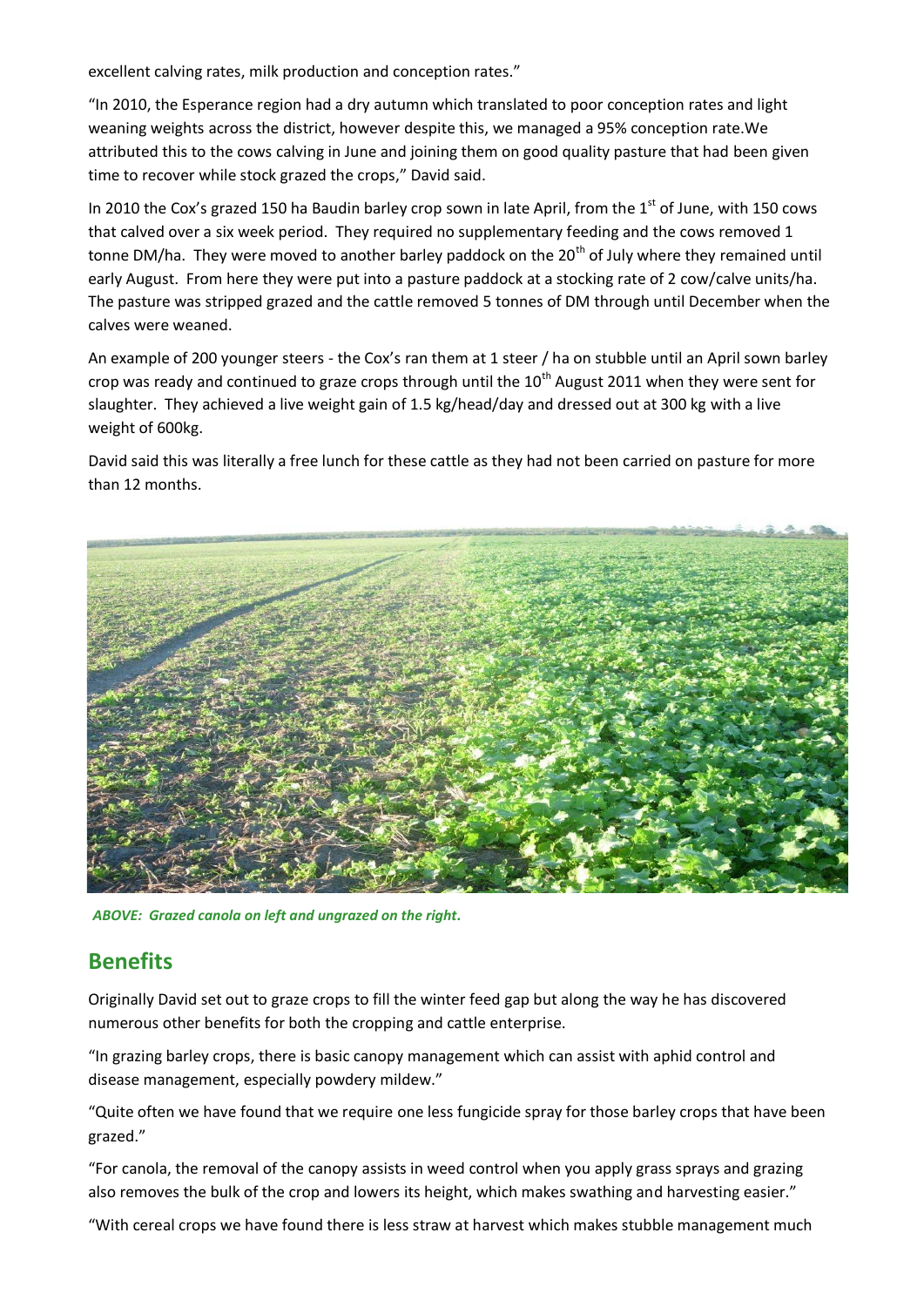excellent calving rates, milk production and conception rates."

"In 2010, the Esperance region had a dry autumn which translated to poor conception rates and light weaning weights across the district, however despite this, we managed a 95% conception rate.We attributed this to the cows calving in June and joining them on good quality pasture that had been given time to recover while stock grazed the crops," David said.

In 2010 the Cox's grazed 150 ha Baudin barley crop sown in late April, from the 1<sup>st</sup> of June, with 150 cows that calved over a six week period. They required no supplementary feeding and the cows removed 1 tonne DM/ha. They were moved to another barley paddock on the 20<sup>th</sup> of July where they remained until early August. From here they were put into a pasture paddock at a stocking rate of 2 cow/calve units/ha. The pasture was stripped grazed and the cattle removed 5 tonnes of DM through until December when the calves were weaned.

An example of 200 younger steers - the Cox's ran them at 1 steer / ha on stubble until an April sown barley crop was ready and continued to graze crops through until the  $10^{th}$  August 2011 when they were sent for slaughter. They achieved a live weight gain of 1.5 kg/head/day and dressed out at 300 kg with a live weight of 600kg.

David said this was literally a free lunch for these cattle as they had not been carried on pasture for more than 12 months.



*ABOVE: Grazed canola on left and ungrazed on the right.*

#### **Benefits**

Originally David set out to graze crops to fill the winter feed gap but along the way he has discovered numerous other benefits for both the cropping and cattle enterprise.

"In grazing barley crops, there is basic canopy management which can assist with aphid control and disease management, especially powdery mildew."

"Quite often we have found that we require one less fungicide spray for those barley crops that have been grazed."

"For canola, the removal of the canopy assists in weed control when you apply grass sprays and grazing also removes the bulk of the crop and lowers its height, which makes swathing and harvesting easier."

"With cereal crops we have found there is less straw at harvest which makes stubble management much